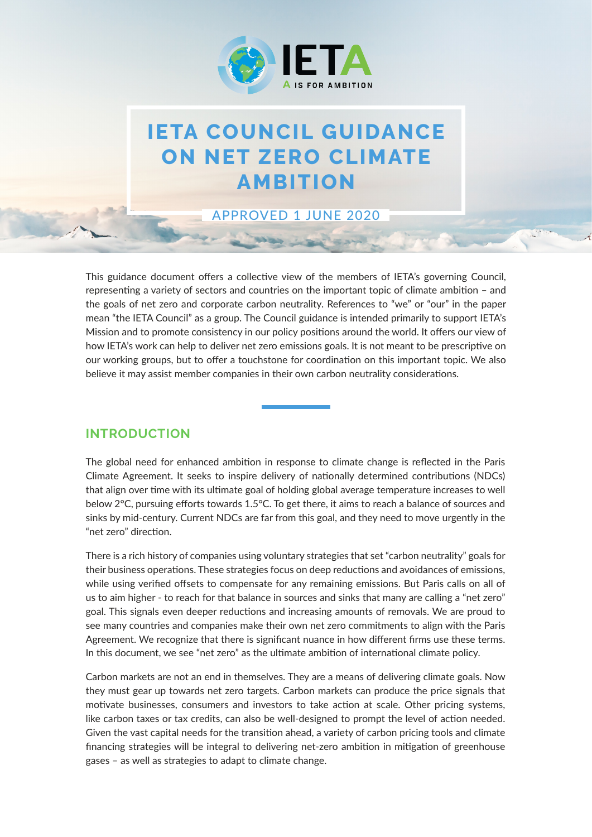

# **IETA COUNCIL GUIDANCE ON NET ZERO CLIMATE AMBITION**

APPROVED 1 JUNE 2020

This guidance document offers a collective view of the members of IETA's governing Council, representing a variety of sectors and countries on the important topic of climate ambition – and the goals of net zero and corporate carbon neutrality. References to "we" or "our" in the paper mean "the IETA Council" as a group. The Council guidance is intended primarily to support IETA's Mission and to promote consistency in our policy positions around the world. It offers our view of how IETA's work can help to deliver net zero emissions goals. It is not meant to be prescriptive on our working groups, but to offer a touchstone for coordination on this important topic. We also believe it may assist member companies in their own carbon neutrality considerations.

### **INTRODUCTION**

The global need for enhanced ambition in response to climate change is reflected in the Paris Climate Agreement. It seeks to inspire delivery of nationally determined contributions (NDCs) that align over time with its ultimate goal of holding global average temperature increases to well below 2°C, pursuing efforts towards 1.5°C. To get there, it aims to reach a balance of sources and sinks by mid-century. Current NDCs are far from this goal, and they need to move urgently in the "net zero" direction.

There is a rich history of companies using voluntary strategies that set "carbon neutrality" goals for their business operations. These strategies focus on deep reductions and avoidances of emissions, while using verified offsets to compensate for any remaining emissions. But Paris calls on all of us to aim higher - to reach for that balance in sources and sinks that many are calling a "net zero" goal. This signals even deeper reductions and increasing amounts of removals. We are proud to see many countries and companies make their own net zero commitments to align with the Paris Agreement. We recognize that there is significant nuance in how different firms use these terms. In this document, we see "net zero" as the ultimate ambition of international climate policy.

Carbon markets are not an end in themselves. They are a means of delivering climate goals. Now they must gear up towards net zero targets. Carbon markets can produce the price signals that motivate businesses, consumers and investors to take action at scale. Other pricing systems, like carbon taxes or tax credits, can also be well-designed to prompt the level of action needed. Given the vast capital needs for the transition ahead, a variety of carbon pricing tools and climate financing strategies will be integral to delivering net-zero ambition in mitigation of greenhouse gases – as well as strategies to adapt to climate change.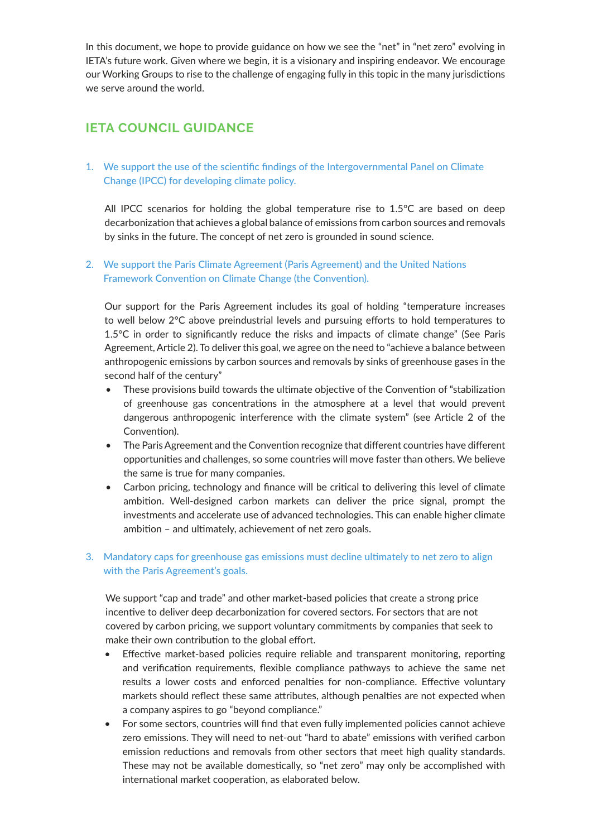In this document, we hope to provide guidance on how we see the "net" in "net zero" evolving in IETA's future work. Given where we begin, it is a visionary and inspiring endeavor. We encourage our Working Groups to rise to the challenge of engaging fully in this topic in the many jurisdictions we serve around the world.

## **IETA COUNCIL GUIDANCE**

1. We support the use of the scientific findings of the Intergovernmental Panel on Climate Change (IPCC) for developing climate policy.

All IPCC scenarios for holding the global temperature rise to 1.5°C are based on deep decarbonization that achieves a global balance of emissions from carbon sources and removals by sinks in the future. The concept of net zero is grounded in sound science.

#### 2. We support the Paris Climate Agreement (Paris Agreement) and the United Nations Framework Convention on Climate Change (the Convention).

Our support for the Paris Agreement includes its goal of holding "temperature increases to well below 2°C above preindustrial levels and pursuing efforts to hold temperatures to 1.5°C in order to significantly reduce the risks and impacts of climate change" (See Paris Agreement, Article 2). To deliver this goal, we agree on the need to "achieve a balance between anthropogenic emissions by carbon sources and removals by sinks of greenhouse gases in the second half of the century"

- These provisions build towards the ultimate objective of the Convention of "stabilization of greenhouse gas concentrations in the atmosphere at a level that would prevent dangerous anthropogenic interference with the climate system" (see Article 2 of the Convention).
- The Paris Agreement and the Convention recognize that different countries have different opportunities and challenges, so some countries will move faster than others. We believe the same is true for many companies.
- Carbon pricing, technology and finance will be critical to delivering this level of climate ambition. Well-designed carbon markets can deliver the price signal, prompt the investments and accelerate use of advanced technologies. This can enable higher climate ambition – and ultimately, achievement of net zero goals.

#### 3. Mandatory caps for greenhouse gas emissions must decline ultimately to net zero to align with the Paris Agreement's goals.

We support "cap and trade" and other market-based policies that create a strong price incentive to deliver deep decarbonization for covered sectors. For sectors that are not covered by carbon pricing, we support voluntary commitments by companies that seek to make their own contribution to the global effort.

- Effective market-based policies require reliable and transparent monitoring, reporting and verification requirements, flexible compliance pathways to achieve the same net results a lower costs and enforced penalties for non-compliance. Effective voluntary markets should reflect these same attributes, although penalties are not expected when a company aspires to go "beyond compliance."
- For some sectors, countries will find that even fully implemented policies cannot achieve zero emissions. They will need to net-out "hard to abate" emissions with verified carbon emission reductions and removals from other sectors that meet high quality standards. These may not be available domestically, so "net zero" may only be accomplished with international market cooperation, as elaborated below.